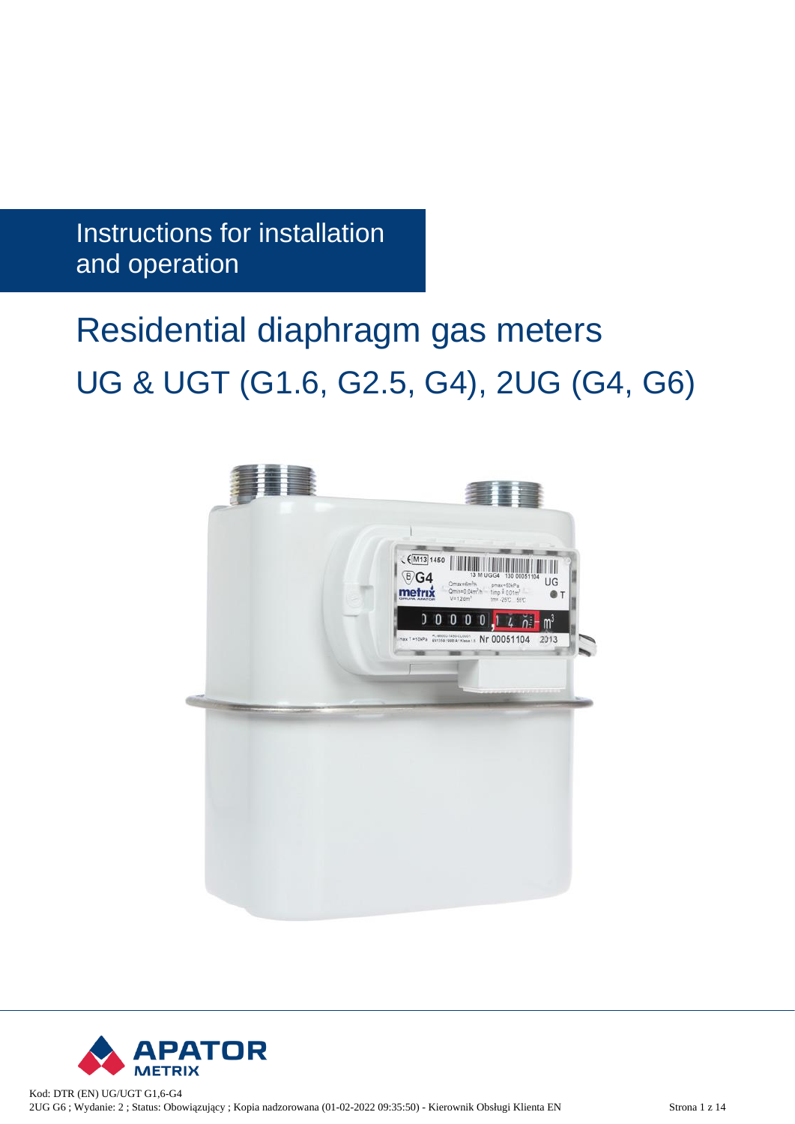Instructions for installation and operation

# Residential diaphragm gas meters UG & UGT (G1.6, G2.5, G4), 2UG (G4, G6)



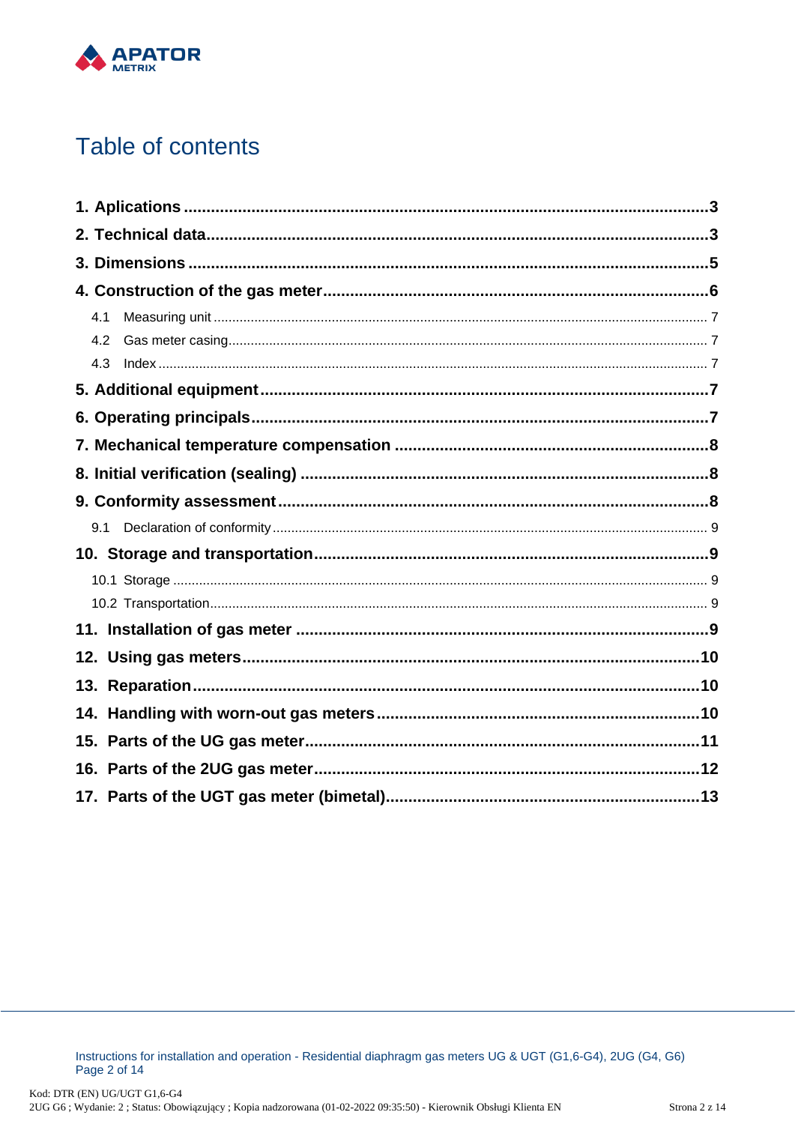

# Table of contents

| 4.1 |  |
|-----|--|
| 4.2 |  |
| 4.3 |  |
|     |  |
|     |  |
|     |  |
|     |  |
|     |  |
| 9.1 |  |
|     |  |
|     |  |
|     |  |
|     |  |
|     |  |
|     |  |
|     |  |
|     |  |
|     |  |
|     |  |

Instructions for installation and operation - Residential diaphragm gas meters UG & UGT (G1,6-G4), 2UG (G4, G6) Page 2 of 14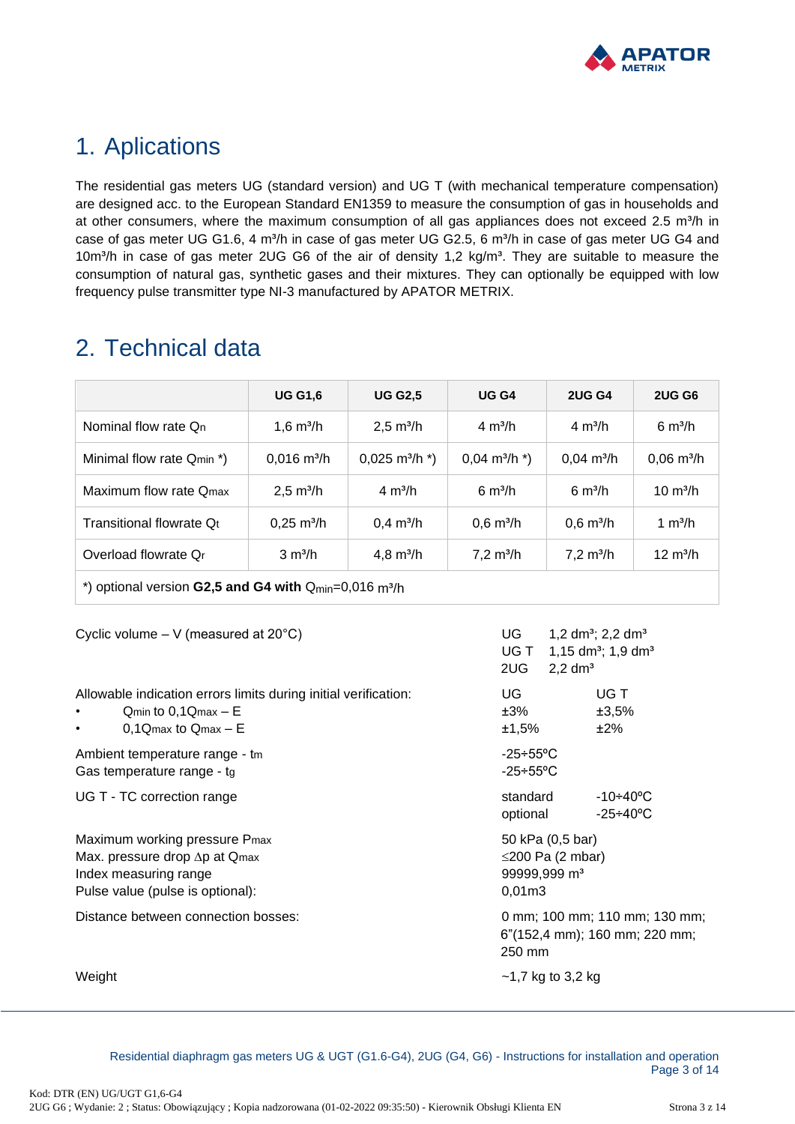

 $UGT \quad 1.15 \text{ dm}^3$ ; 1,9 dm<sup>3</sup>

### <span id="page-2-0"></span>1. Aplications

The residential gas meters UG (standard version) and UG T (with mechanical temperature compensation) are designed acc. to the European Standard EN1359 to measure the consumption of gas in households and at other consumers, where the maximum consumption of all gas appliances does not exceed 2.5 m<sup>3</sup>/h in case of gas meter UG G1.6, 4 m<sup>3</sup>/h in case of gas meter UG G2.5, 6 m<sup>3</sup>/h in case of gas meter UG G4 and 10m<sup>3</sup>/h in case of gas meter 2UG G6 of the air of density 1,2 kg/m<sup>3</sup>. They are suitable to measure the consumption of natural gas, synthetic gases and their mixtures. They can optionally be equipped with low frequency pulse transmitter type NI-3 manufactured by APATOR METRIX.

### <span id="page-2-1"></span>2. Technical data

|                                                                        | <b>UG G1,6</b>        | <b>UG G2.5</b>                 | UG <sub>G4</sub>                | <b>2UG G4</b>                | <b>2UG G6</b>        |  |  |
|------------------------------------------------------------------------|-----------------------|--------------------------------|---------------------------------|------------------------------|----------------------|--|--|
| Nominal flow rate On                                                   | 1.6 $m^3/h$           | $2,5 \text{ m}^3/h$            | $4 \text{ m}^3/h$               | $4 \text{ m}^3/h$            | $6 \text{ m}^3$ /h   |  |  |
| Minimal flow rate Qmin *)                                              | $0,016 \text{ m}^3/h$ | $0,025 \text{ m}^3/\text{h}^*$ | $0,04 \text{ m}^3/\text{h}^*$ ) | $0.04 \text{ m}^3/h$         | $0,06 \text{ m}^3/h$ |  |  |
| Maximum flow rate Omax                                                 | $2,5 \text{ m}^3/h$   | $4 \text{ m}^3/h$              | $6 \text{ m}^3/h$               | $6 \text{ m}^3$ /h           | $10 \text{ m}^3/h$   |  |  |
| Transitional flowrate Qt                                               | $0,25 \text{ m}^3/h$  | $0,4 \, \text{m}^3/\text{h}$   | $0,6 \text{ m}^3/h$             | $0,6 \; \text{m}^3/\text{h}$ | 1 $m^3/h$            |  |  |
| Overload flowrate Or                                                   | $3 \text{ m}^3/h$     | 4,8 $m^3/h$                    | $7,2 \text{ m}^3/h$             | $7,2 \text{ m}^3/h$          | $12 \text{ m}^3/h$   |  |  |
| *) optional version G2,5 and G4 with $Q_{min}=0.016$ m <sup>3</sup> /h |                       |                                |                                 |                              |                      |  |  |

Cyclic volume – V (measured at  $20^{\circ}$ C) UG 1,2 dm<sup>3</sup>; 2,2 dm<sup>3</sup>

|                                                                                                                                     | 2UG<br>$2,2$ dm <sup>3</sup>                                                     |  |  |
|-------------------------------------------------------------------------------------------------------------------------------------|----------------------------------------------------------------------------------|--|--|
| Allowable indication errors limits during initial verification:<br>$Q_{min}$ to $0,1Q_{max} - E$<br>$0,1$ Qmax to Qmax - E          | UG.<br>UG T<br>±3,5%<br>±3%<br>±2%<br>±1,5%                                      |  |  |
| Ambient temperature range - tm<br>Gas temperature range - tg                                                                        | -25÷55°C<br>$-25 \div 55^{\circ}$ C                                              |  |  |
| UG T - TC correction range                                                                                                          | standard<br>-10÷40°C<br>$-25 + 40^{\circ}$ C<br>optional                         |  |  |
| Maximum working pressure Pmax<br>Max. pressure drop $\Delta p$ at Qmax<br>Index measuring range<br>Pulse value (pulse is optional): | 50 kPa (0,5 bar)<br>$\leq$ 200 Pa (2 mbar)<br>99999,999 m <sup>3</sup><br>0,01m3 |  |  |
| Distance between connection bosses:                                                                                                 | 0 mm; 100 mm; 110 mm; 130 mm;<br>6"(152,4 mm); 160 mm; 220 mm;<br>250 mm         |  |  |
| Weight                                                                                                                              | $-1,7$ kg to 3,2 kg                                                              |  |  |

Residential diaphragm gas meters UG & UGT (G1.6-G4), 2UG (G4, G6) - Instructions for installation and operation Page 3 of 14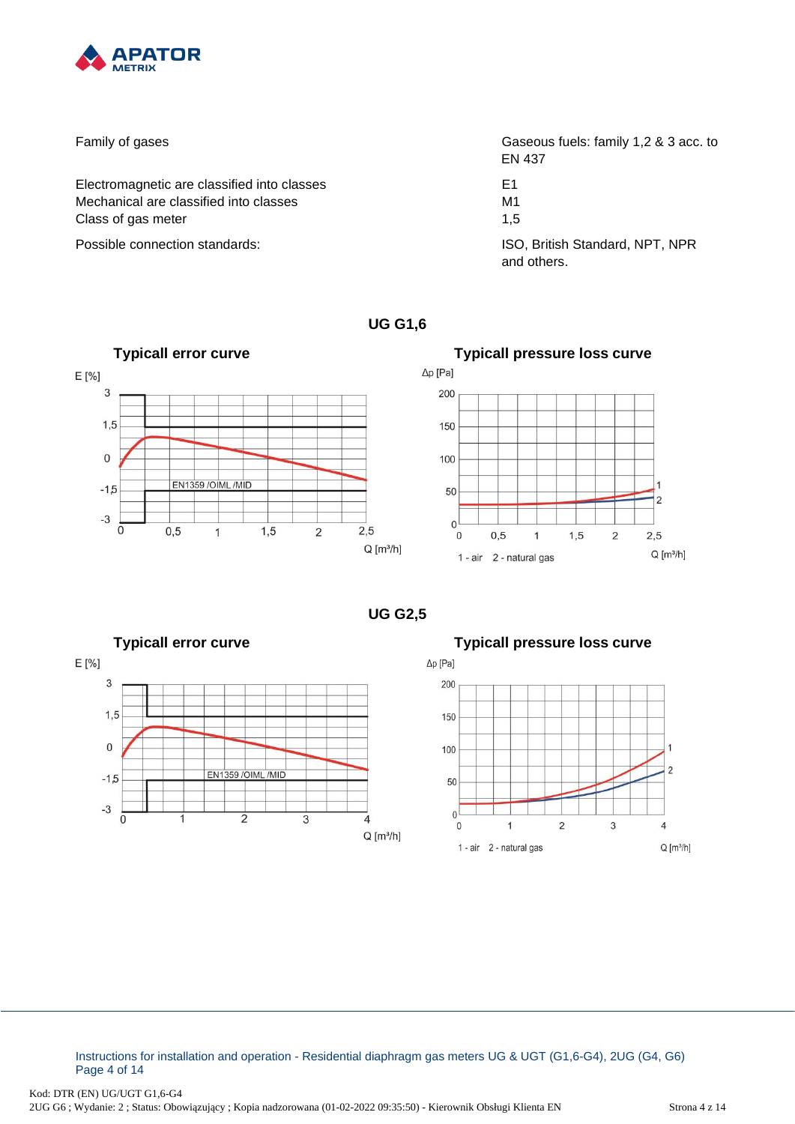

Family of gases **Family of gases** Gaseous fuels: family 1,2 & 3 acc. to Electromagnetic are classified into classes E1 Mechanical are classified into classes M1 Class of gas meter 1,5 Possible connection standards: ISO, British Standard, NPT, NPR

EN 437

and others.

**UG G1,6**



Δp [Pa] 200 150 100 1 50  $\overline{c}$  $\mathbf 0$  $\mathbf{0}$  $0,5$  $\overline{1}$  $1,5$  $\overline{2}$  $2,5$  $Q [m^3/h]$ 1 - air 2 - natural gas

**UG G2,5**





Instructions for installation and operation - Residential diaphragm gas meters UG & UGT (G1,6-G4), 2UG (G4, G6) Page 4 of 14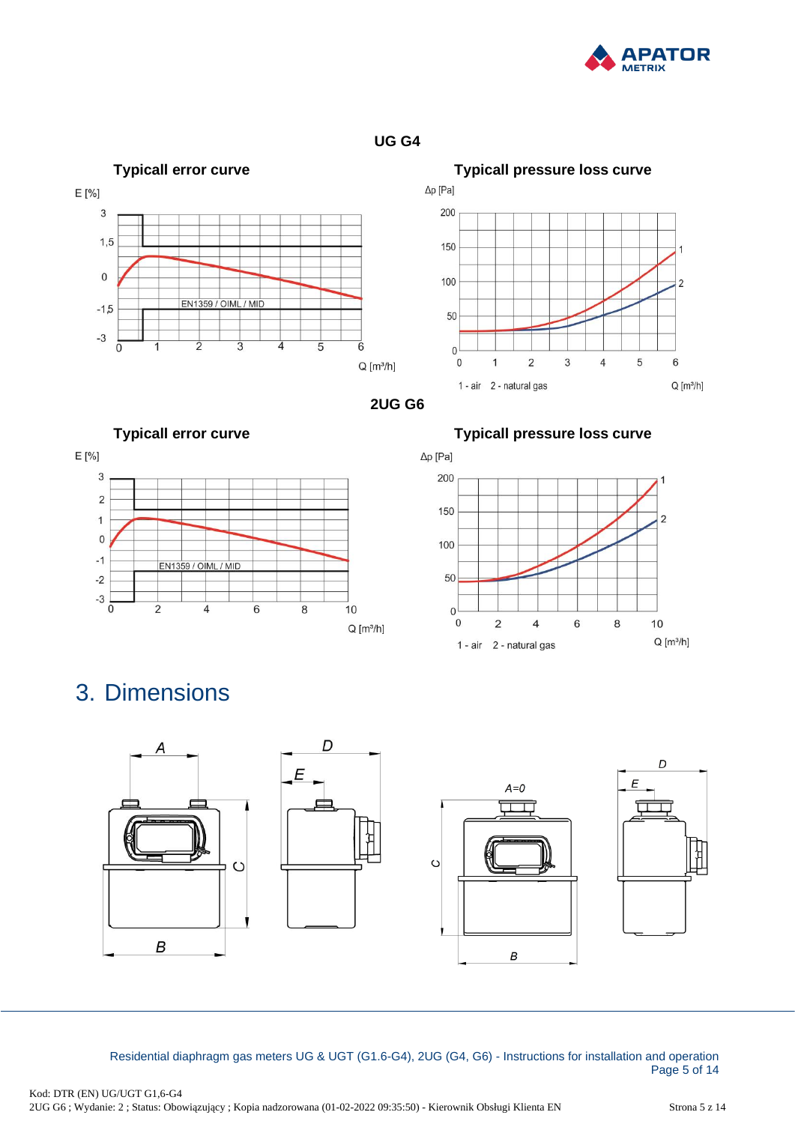







**2UG G6**





**Typicall error curve Typicall pressure loss curve**



# <span id="page-4-0"></span>3. Dimensions



Residential diaphragm gas meters UG & UGT (G1.6-G4), 2UG (G4, G6) - Instructions for installation and operation Page 5 of 14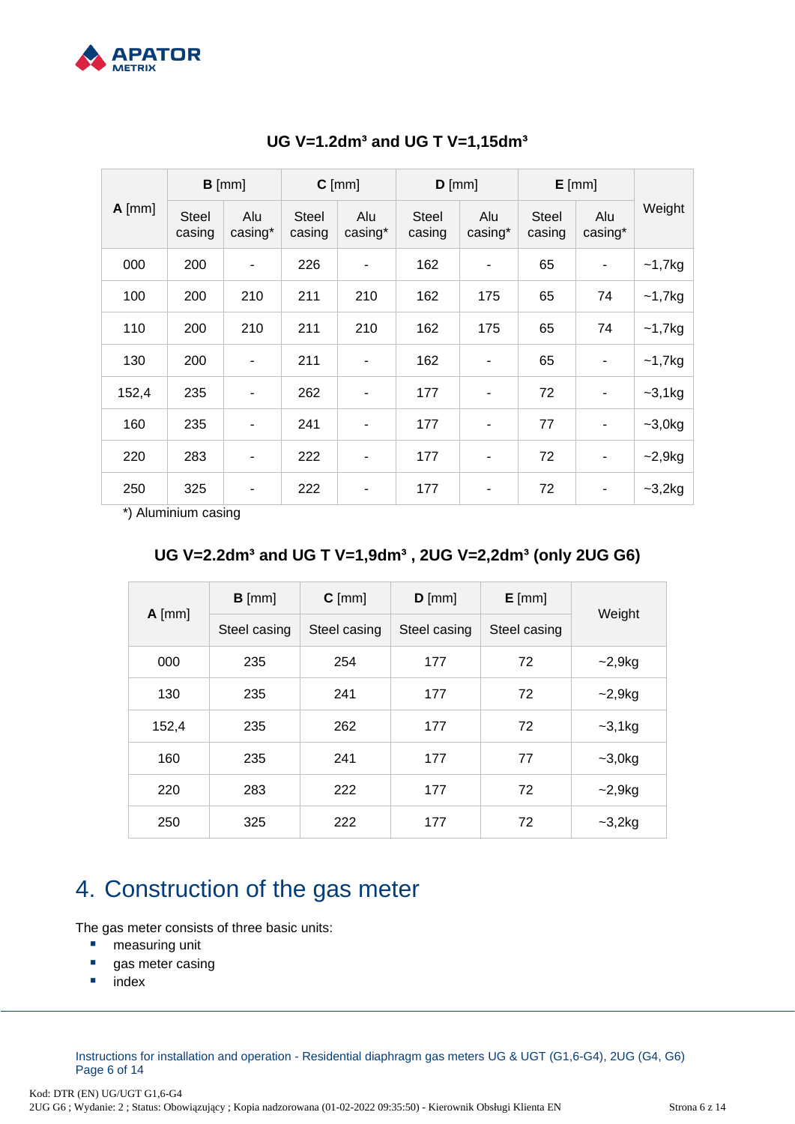

| $A$ [mm] | $B$ [mm]               |                | $C$ [mm]               |                | $D$ [mm]               |                | $E$ [mm]               |                |           |
|----------|------------------------|----------------|------------------------|----------------|------------------------|----------------|------------------------|----------------|-----------|
|          | <b>Steel</b><br>casing | Alu<br>casing* | <b>Steel</b><br>casing | Alu<br>casing* | <b>Steel</b><br>casing | Alu<br>casing* | <b>Steel</b><br>casing | Alu<br>casing* | Weight    |
| 000      | 200                    | $\overline{a}$ | 226                    | -              | 162                    | ۰              | 65                     |                | $-1,7$ kg |
| 100      | 200                    | 210            | 211                    | 210            | 162                    | 175            | 65                     | 74             | $~1,7$ kg |
| 110      | 200                    | 210            | 211                    | 210            | 162                    | 175            | 65                     | 74             | $-1,7kg$  |
| 130      | 200                    | $\blacksquare$ | 211                    | ۰              | 162                    | ۰              | 65                     |                | $~1,7$ kg |
| 152,4    | 235                    | $\overline{a}$ | 262                    | -              | 177                    | $\blacksquare$ | 72                     |                | $-3,1kg$  |
| 160      | 235                    | $\blacksquare$ | 241                    | $\overline{a}$ | 177                    | ۰              | 77                     |                | $-3,0kg$  |
| 220      | 283                    | Ĭ.             | 222                    | ۰              | 177                    | ۰              | 72                     |                | $-2,9kg$  |
| 250      | 325                    | ۰              | 222                    | ۰              | 177                    | ٠              | 72                     |                | $-3,2kg$  |

#### **UG V=1.2dm³ and UG T V=1,15dm³**

\*) Aluminium casing

#### **UG V=2.2dm³ and UG T V=1,9dm³ , 2UG V=2,2dm³ (only 2UG G6)**

| $A$ [mm] | $B$ [mm]     | $C$ [mm]     | $D$ [mm]     | $E$ [mm]     |           |  |
|----------|--------------|--------------|--------------|--------------|-----------|--|
|          | Steel casing | Steel casing | Steel casing | Steel casing | Weight    |  |
| 000      | 235          | 254          | 177          | 72           | $-2,9kg$  |  |
| 130      | 235          | 241          | 177          | 72           | $-2,9kg$  |  |
| 152,4    | 235          | 262          | 177          | 72           | $-3,1$ kg |  |
| 160      | 235          | 241          | 177          | 77           | $-3,0kg$  |  |
| 220      | 283          | 222          | 177          | 72           | $-2,9kg$  |  |
| 250      | 325          | 222          | 177          | 72           | $-3,2kg$  |  |

### <span id="page-5-0"></span>4. Construction of the gas meter

The gas meter consists of three basic units:

- measuring unit
- gas meter casing
- index

Instructions for installation and operation - Residential diaphragm gas meters UG & UGT (G1,6-G4), 2UG (G4, G6) Page 6 of 14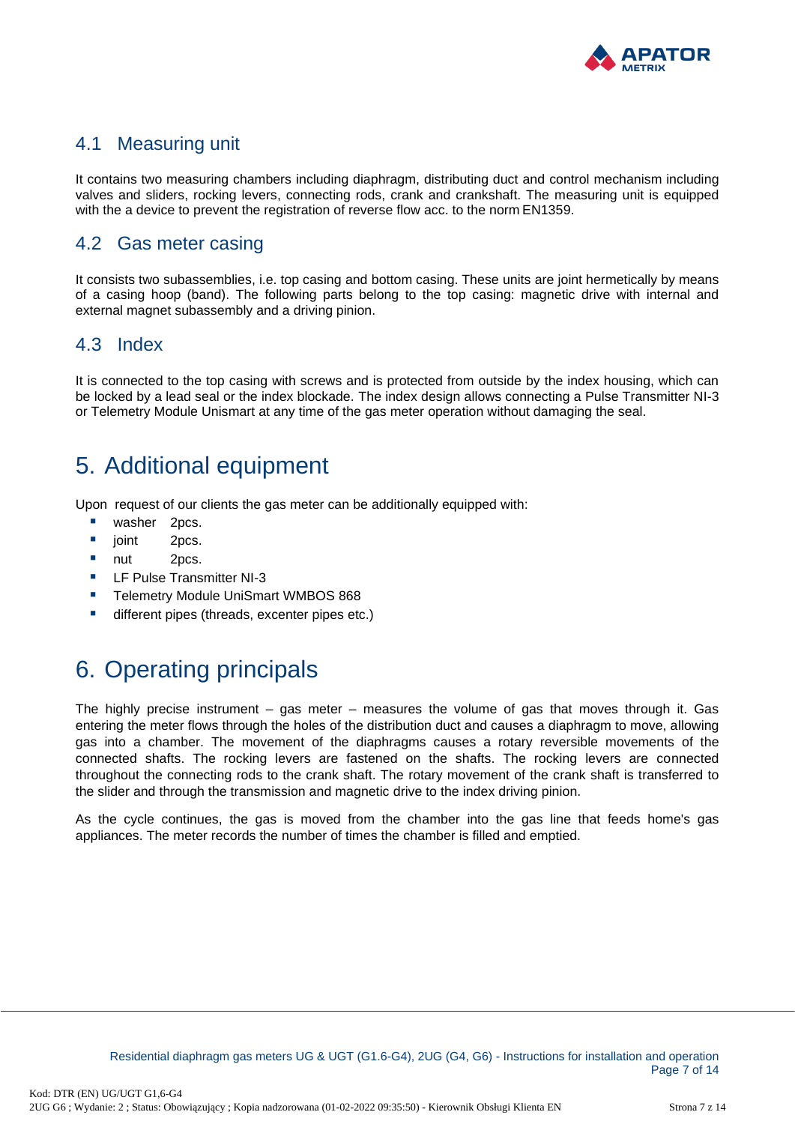

#### <span id="page-6-0"></span>4.1 Measuring unit

It contains two measuring chambers including diaphragm, distributing duct and control mechanism including valves and sliders, rocking levers, connecting rods, crank and crankshaft. The measuring unit is equipped with the a device to prevent the registration of reverse flow acc. to the norm EN1359.

#### <span id="page-6-1"></span>4.2 Gas meter casing

It consists two subassemblies, i.e. top casing and bottom casing. These units are joint hermetically by means of a casing hoop (band). The following parts belong to the top casing: magnetic drive with internal and external magnet subassembly and a driving pinion.

#### <span id="page-6-2"></span>4.3 Index

It is connected to the top casing with screws and is protected from outside by the index housing, which can be locked by a lead seal or the index blockade. The index design allows connecting a Pulse Transmitter NI-3 or Telemetry Module Unismart at any time of the gas meter operation without damaging the seal.

### <span id="page-6-3"></span>5. Additional equipment

Upon request of our clients the gas meter can be additionally equipped with:

- washer 2pcs.
- joint 2pcs.
- nut 2pcs.
- LF Pulse Transmitter NI-3
- **E** Telemetry Module UniSmart WMBOS 868
- different pipes (threads, excenter pipes etc.)

# <span id="page-6-4"></span>6. Operating principals

The highly precise instrument – gas meter – measures the volume of gas that moves through it. Gas entering the meter flows through the holes of the distribution duct and causes a diaphragm to move, allowing gas into a chamber. The movement of the diaphragms causes a rotary reversible movements of the connected shafts. The rocking levers are fastened on the shafts. The rocking levers are connected throughout the connecting rods to the crank shaft. The rotary movement of the crank shaft is transferred to the slider and through the transmission and magnetic drive to the index driving pinion.

As the cycle continues, the gas is moved from the chamber into the gas line that feeds home's gas appliances. The meter records the number of times the chamber is filled and emptied.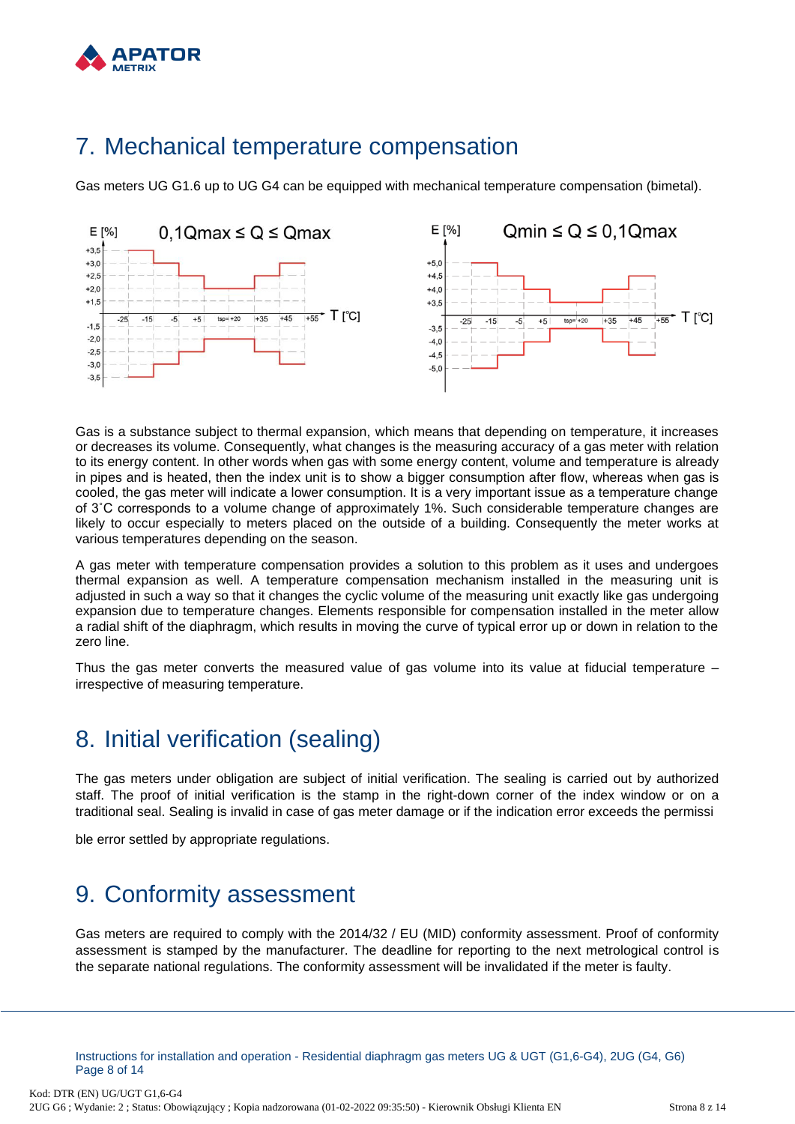

#### <span id="page-7-0"></span>7. Mechanical temperature compensation

Gas meters UG G1.6 up to UG G4 can be equipped with mechanical temperature compensation (bimetal).



Gas is a substance subject to thermal expansion, which means that depending on temperature, it increases or decreases its volume. Consequently, what changes is the measuring accuracy of a gas meter with relation to its energy content. In other words when gas with some energy content, volume and temperature is already in pipes and is heated, then the index unit is to show a bigger consumption after flow, whereas when gas is cooled, the gas meter will indicate a lower consumption. It is a very important issue as a temperature change of 3˚C corresponds to a volume change of approximately 1%. Such considerable temperature changes are likely to occur especially to meters placed on the outside of a building. Consequently the meter works at various temperatures depending on the season.

A gas meter with temperature compensation provides a solution to this problem as it uses and undergoes thermal expansion as well. A temperature compensation mechanism installed in the measuring unit is adjusted in such a way so that it changes the cyclic volume of the measuring unit exactly like gas undergoing expansion due to temperature changes. Elements responsible for compensation installed in the meter allow a radial shift of the diaphragm, which results in moving the curve of typical error up or down in relation to the zero line.

Thus the gas meter converts the measured value of gas volume into its value at fiducial temperature – irrespective of measuring temperature.

### <span id="page-7-1"></span>8. Initial verification (sealing)

The gas meters under obligation are subject of initial verification. The sealing is carried out by authorized staff. The proof of initial verification is the stamp in the right-down corner of the index window or on a traditional seal. Sealing is invalid in case of gas meter damage or if the indication error exceeds the permissi

ble error settled by appropriate regulations.

### <span id="page-7-2"></span>9. Conformity assessment

Gas meters are required to comply with the 2014/32 / EU (MID) conformity assessment. Proof of conformity assessment is stamped by the manufacturer. The deadline for reporting to the next metrological control is the separate national regulations. The conformity assessment will be invalidated if the meter is faulty.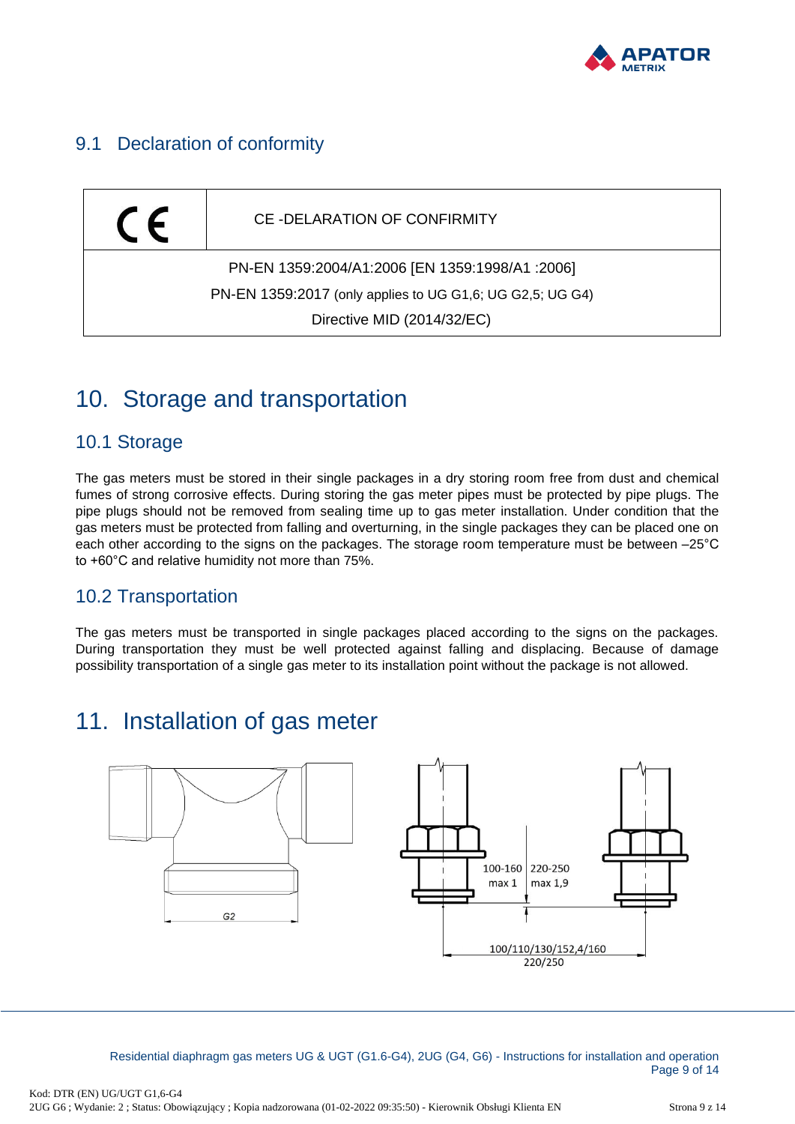

#### <span id="page-8-0"></span>9.1 Declaration of conformity



#### <span id="page-8-1"></span>10. Storage and transportation

#### <span id="page-8-2"></span>10.1 Storage

The gas meters must be stored in their single packages in a dry storing room free from dust and chemical fumes of strong corrosive effects. During storing the gas meter pipes must be protected by pipe plugs. The pipe plugs should not be removed from sealing time up to gas meter installation. Under condition that the gas meters must be protected from falling and overturning, in the single packages they can be placed one on each other according to the signs on the packages. The storage room temperature must be between –25°C to +60°C and relative humidity not more than 75%.

#### <span id="page-8-3"></span>10.2 Transportation

The gas meters must be transported in single packages placed according to the signs on the packages. During transportation they must be well protected against falling and displacing. Because of damage possibility transportation of a single gas meter to its installation point without the package is not allowed.

### <span id="page-8-4"></span>11. Installation of gas meter



Residential diaphragm gas meters UG & UGT (G1.6-G4), 2UG (G4, G6) - Instructions for installation and operation Page 9 of 14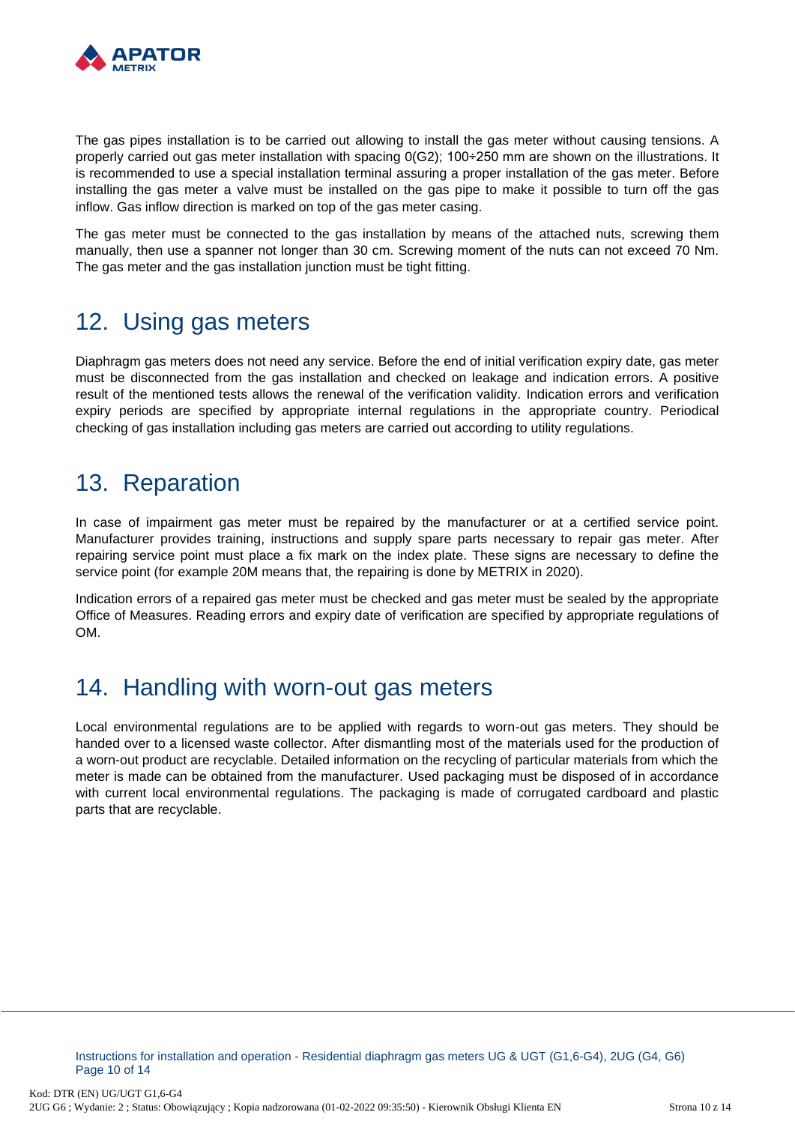

The gas pipes installation is to be carried out allowing to install the gas meter without causing tensions. A properly carried out gas meter installation with spacing 0(G2); 100÷250 mm are shown on the illustrations. It is recommended to use a special installation terminal assuring a proper installation of the gas meter. Before installing the gas meter a valve must be installed on the gas pipe to make it possible to turn off the gas inflow. Gas inflow direction is marked on top of the gas meter casing.

The gas meter must be connected to the gas installation by means of the attached nuts, screwing them manually, then use a spanner not longer than 30 cm. Screwing moment of the nuts can not exceed 70 Nm. The gas meter and the gas installation junction must be tight fitting.

### <span id="page-9-0"></span>12. Using gas meters

Diaphragm gas meters does not need any service. Before the end of initial verification expiry date, gas meter must be disconnected from the gas installation and checked on leakage and indication errors. A positive result of the mentioned tests allows the renewal of the verification validity. Indication errors and verification expiry periods are specified by appropriate internal regulations in the appropriate country. Periodical checking of gas installation including gas meters are carried out according to utility regulations.

### <span id="page-9-1"></span>13. Reparation

In case of impairment gas meter must be repaired by the manufacturer or at a certified service point. Manufacturer provides training, instructions and supply spare parts necessary to repair gas meter. After repairing service point must place a fix mark on the index plate. These signs are necessary to define the service point (for example 20M means that, the repairing is done by METRIX in 2020).

Indication errors of a repaired gas meter must be checked and gas meter must be sealed by the appropriate Office of Measures. Reading errors and expiry date of verification are specified by appropriate regulations of OM.

#### <span id="page-9-2"></span>14. Handling with worn-out gas meters

Local environmental regulations are to be applied with regards to worn-out gas meters. They should be handed over to a licensed waste collector. After dismantling most of the materials used for the production of a worn-out product are recyclable. Detailed information on the recycling of particular materials from which the meter is made can be obtained from the manufacturer. Used packaging must be disposed of in accordance with current local environmental regulations. The packaging is made of corrugated cardboard and plastic parts that are recyclable.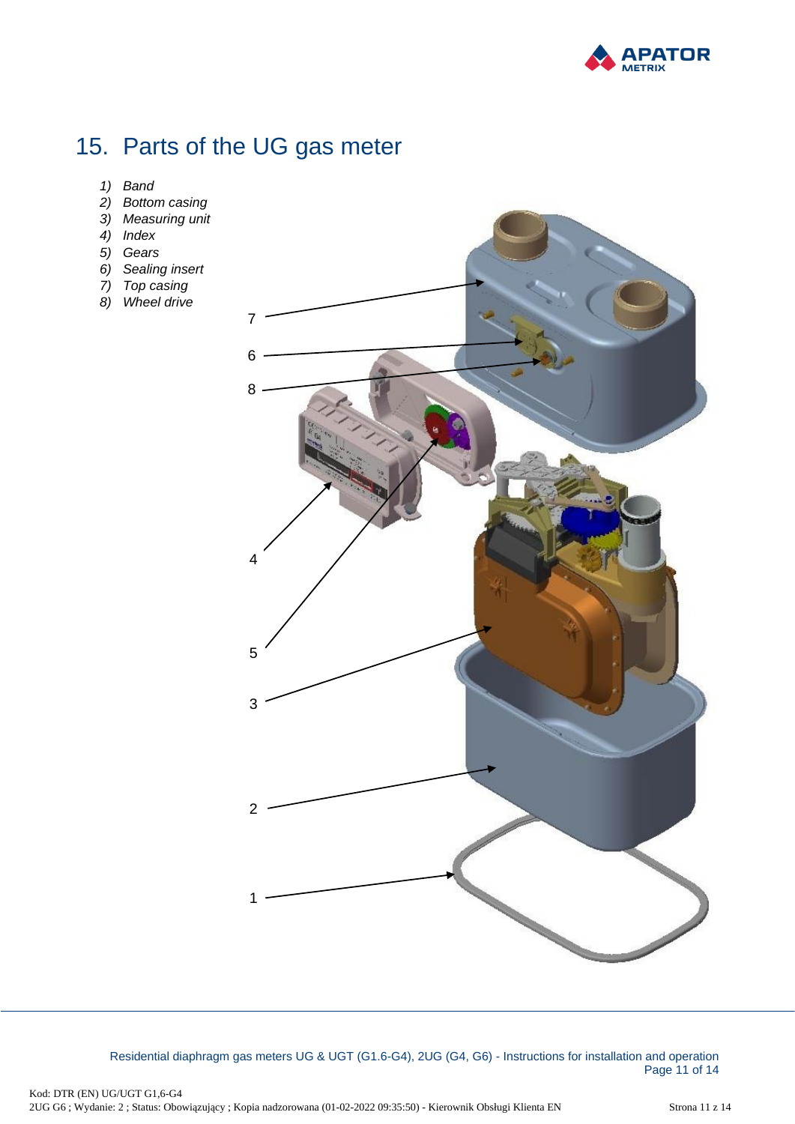

# <span id="page-10-0"></span>15. Parts of the UG gas meter

- *1) Band*
- *2) Bottom casing*
- *3) Measuring unit*
- *4) Index*
- *5) Gears*
- *6) Sealing insert*
- *7) Top casing*
- *8) Wheel drive*



Residential diaphragm gas meters UG & UGT (G1.6-G4), 2UG (G4, G6) - Instructions for installation and operation Page 11 of 14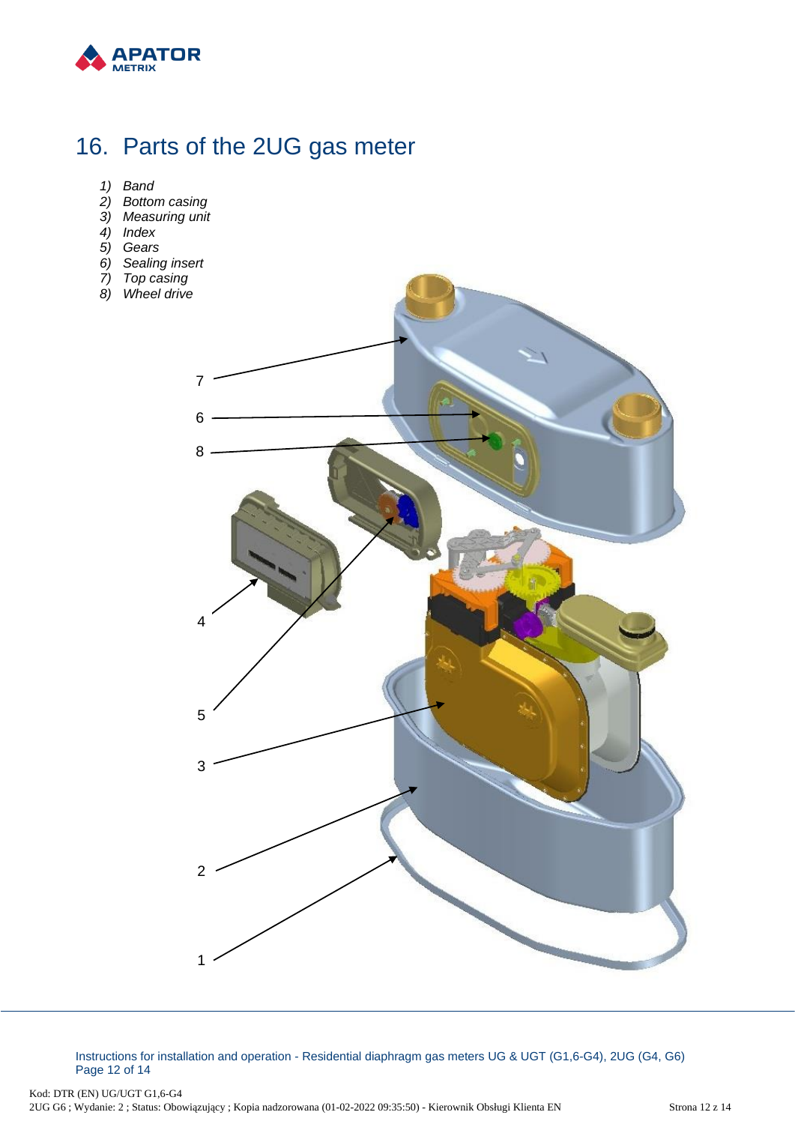

## <span id="page-11-0"></span>16. Parts of the 2UG gas meter

- *1) Band*
- *2) Bottom casing*
- *3) Measuring unit*
- *4) Index*
- *5) Gears*
- *6) Sealing insert*
- *7) Top casing*
- *8) Wheel drive*



Instructions for installation and operation - Residential diaphragm gas meters UG & UGT (G1,6-G4), 2UG (G4, G6) Page 12 of 14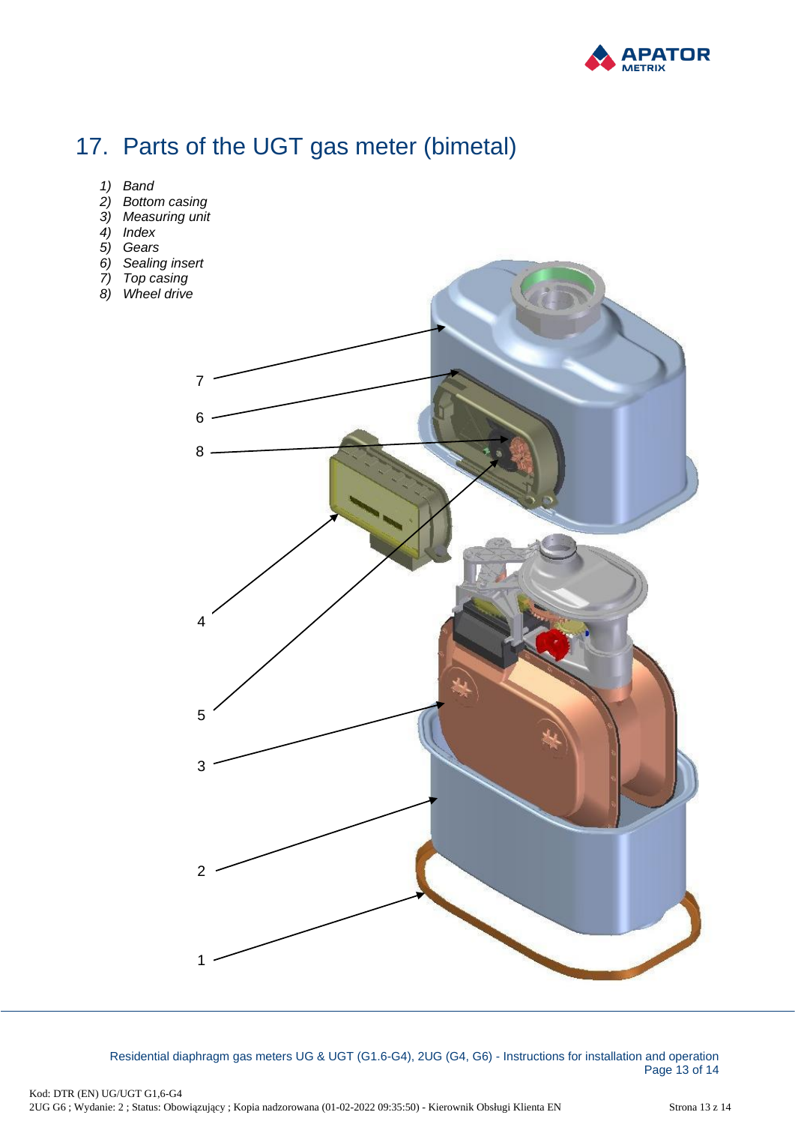

# <span id="page-12-0"></span>17. Parts of the UGT gas meter (bimetal)

- *1) Band*
- *2) Bottom casing*
- *3) Measuring unit*
- *4) Index*
- *5) Gears*
- *6) Sealing insert*
- *7) Top casing*
- *8) Wheel drive*



Residential diaphragm gas meters UG & UGT (G1.6-G4), 2UG (G4, G6) - Instructions for installation and operation Page 13 of 14